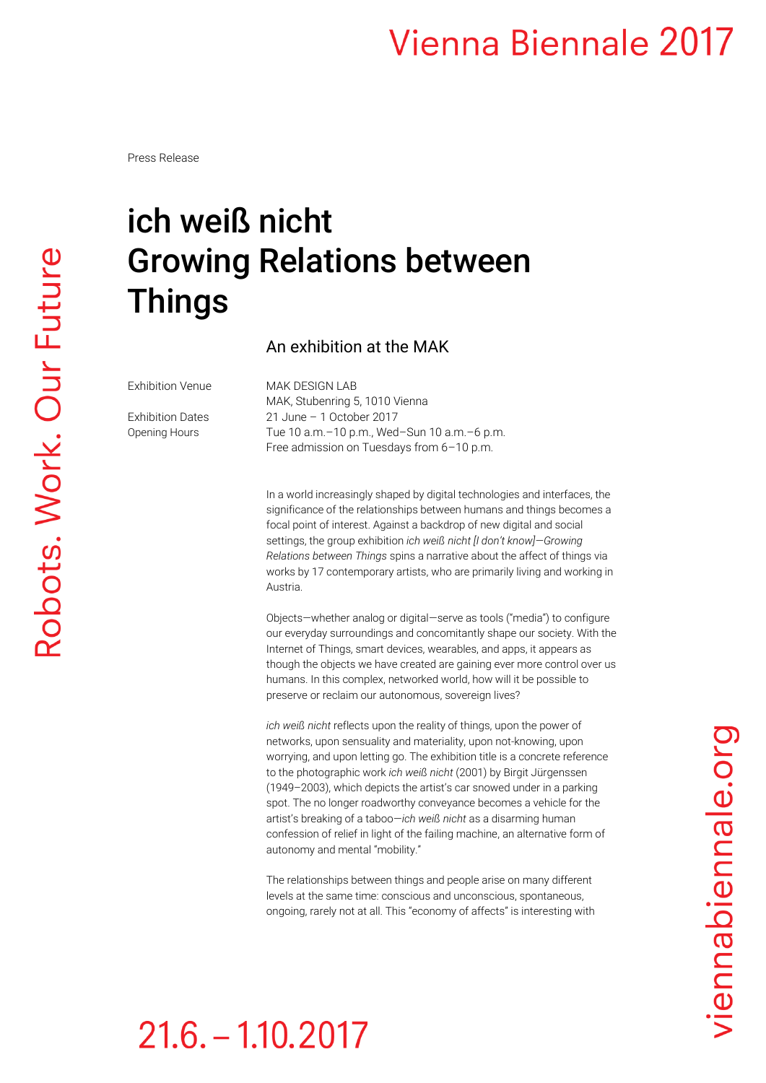### **Vienna Biennale 2017**

Press Release

# Robots. Work. Our Future

### ich weiß nicht Growing Relations between Things

An exhibition at the MAK

Exhibition Venue MAK DESIGN LAB MAK, Stubenring 5, 1010 Vienna Exhibition Dates 21 June – 1 October 2017 Opening Hours Tue 10 a.m.–10 p.m., Wed–Sun 10 a.m.–6 p.m. Free admission on Tuesdays from 6–10 p.m.

> In a world increasingly shaped by digital technologies and interfaces, the significance of the relationships between humans and things becomes a focal point of interest. Against a backdrop of new digital and social settings, the group exhibition *ich weiß nicht [I don't know]—Growing Relations between Things* spins a narrative about the affect of things via works by 17 contemporary artists, who are primarily living and working in Austria.

> Objects—whether analog or digital—serve as tools ("media") to configure our everyday surroundings and concomitantly shape our society. With the Internet of Things, smart devices, wearables, and apps, it appears as though the objects we have created are gaining ever more control over us humans. In this complex, networked world, how will it be possible to preserve or reclaim our autonomous, sovereign lives?

*ich weiß nicht* reflects upon the reality of things, upon the power of networks, upon sensuality and materiality, upon not-knowing, upon worrying, and upon letting go. The exhibition title is a concrete reference to the photographic work *ich weiß nicht* (2001) by Birgit Jürgenssen (1949–2003), which depicts the artist's car snowed under in a parking spot. The no longer roadworthy conveyance becomes a vehicle for the artist's breaking of a taboo—*ich weiß nicht* as a disarming human confession of relief in light of the failing machine, an alternative form of autonomy and mental "mobility."

The relationships between things and people arise on many different levels at the same time: conscious and unconscious, spontaneous, ongoing, rarely not at all. This "economy of affects" is interesting with

# $21.6 - 1.10.2017$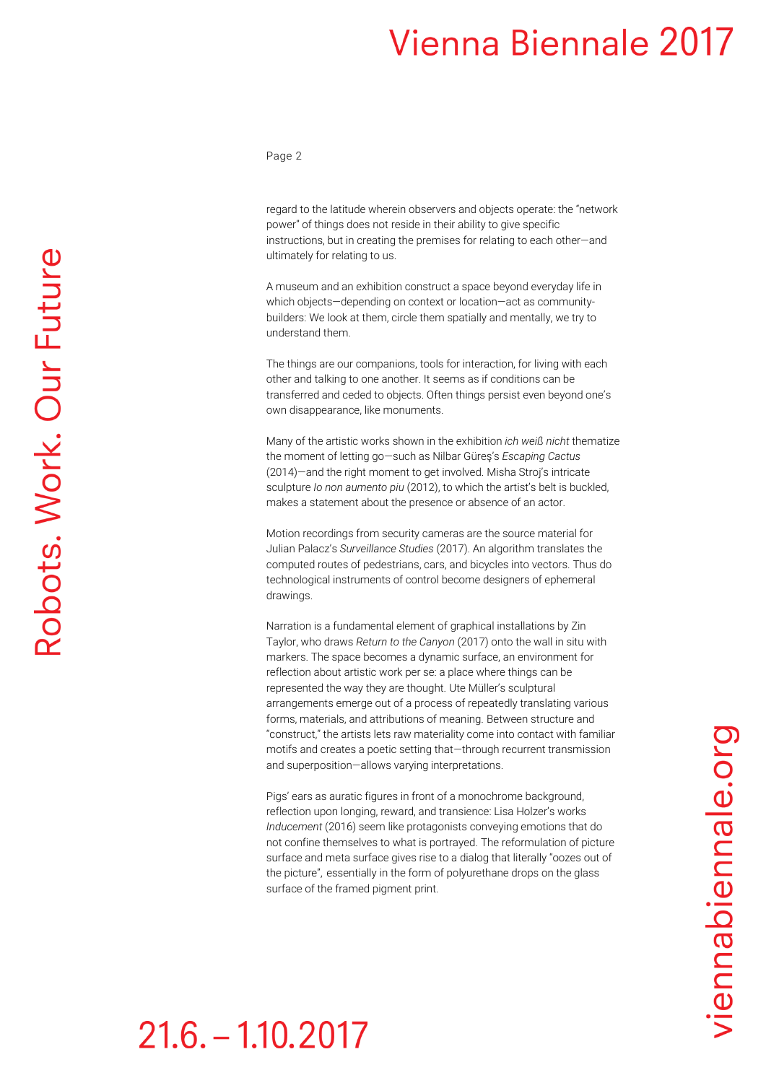### **Vienna Biennale 2017**

Page 2

regard to the latitude wherein observers and objects operate: the "network power" of things does not reside in their ability to give specific instructions, but in creating the premises for relating to each other—and ultimately for relating to us.

A museum and an exhibition construct a space beyond everyday life in which objects—depending on context or location—act as communitybuilders: We look at them, circle them spatially and mentally, we try to understand them.

The things are our companions, tools for interaction, for living with each other and talking to one another. It seems as if conditions can be transferred and ceded to objects. Often things persist even beyond one's own disappearance, like monuments.

Many of the artistic works shown in the exhibition *ich weiß nicht* thematize the moment of letting go—such as Nilbar Güreş's *Escaping Cactus*  (2014)—and the right moment to get involved. Misha Stroj's intricate sculpture *Io non aumento piu* (2012), to which the artist's belt is buckled, makes a statement about the presence or absence of an actor.

Motion recordings from security cameras are the source material for Julian Palacz's *Surveillance Studies* (2017). An algorithm translates the computed routes of pedestrians, cars, and bicycles into vectors. Thus do technological instruments of control become designers of ephemeral drawings.

Narration is a fundamental element of graphical installations by Zin Taylor, who draws *Return to the Canyon* (2017) onto the wall in situ with markers. The space becomes a dynamic surface, an environment for reflection about artistic work per se: a place where things can be represented the way they are thought. Ute Müller's sculptural arrangements emerge out of a process of repeatedly translating various forms, materials, and attributions of meaning. Between structure and "construct," the artists lets raw materiality come into contact with familiar motifs and creates a poetic setting that—through recurrent transmission and superposition—allows varying interpretations.

Pigs' ears as auratic figures in front of a monochrome background, reflection upon longing, reward, and transience: Lisa Holzer's works *Inducement* (2016) seem like protagonists conveying emotions that do not confine themselves to what is portrayed. The reformulation of picture surface and meta surface gives rise to a dialog that literally "oozes out of the picture", essentially in the form of polyurethane drops on the glass surface of the framed pigment print.



# $21.6 - 1.10.2017$